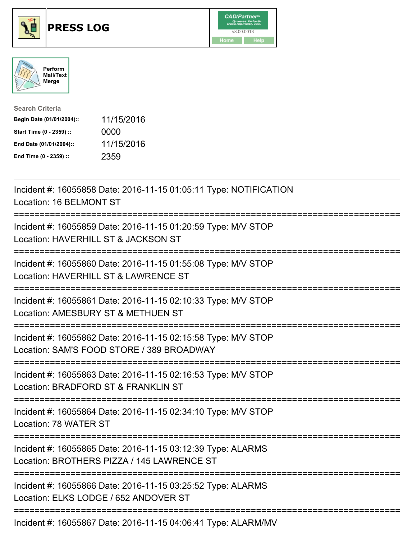





| <b>Search Criteria</b>    |            |
|---------------------------|------------|
| Begin Date (01/01/2004):: | 11/15/2016 |
| Start Time (0 - 2359) ::  | 0000       |
| End Date (01/01/2004)::   | 11/15/2016 |
| End Time (0 - 2359) ::    | 2359       |

| Incident #: 16055858 Date: 2016-11-15 01:05:11 Type: NOTIFICATION<br>Location: 16 BELMONT ST                                                  |
|-----------------------------------------------------------------------------------------------------------------------------------------------|
| Incident #: 16055859 Date: 2016-11-15 01:20:59 Type: M/V STOP<br>Location: HAVERHILL ST & JACKSON ST                                          |
| Incident #: 16055860 Date: 2016-11-15 01:55:08 Type: M/V STOP<br>Location: HAVERHILL ST & LAWRENCE ST                                         |
| Incident #: 16055861 Date: 2016-11-15 02:10:33 Type: M/V STOP<br>Location: AMESBURY ST & METHUEN ST                                           |
| Incident #: 16055862 Date: 2016-11-15 02:15:58 Type: M/V STOP<br>Location: SAM'S FOOD STORE / 389 BROADWAY                                    |
| Incident #: 16055863 Date: 2016-11-15 02:16:53 Type: M/V STOP<br>Location: BRADFORD ST & FRANKLIN ST                                          |
| Incident #: 16055864 Date: 2016-11-15 02:34:10 Type: M/V STOP<br>Location: 78 WATER ST                                                        |
| Incident #: 16055865 Date: 2016-11-15 03:12:39 Type: ALARMS<br>Location: BROTHERS PIZZA / 145 LAWRENCE ST<br>================================ |
| Incident #: 16055866 Date: 2016-11-15 03:25:52 Type: ALARMS<br>Location: ELKS LODGE / 652 ANDOVER ST                                          |
| Incident #: 16055867 Date: 2016-11-15 04:06:41 Type: ALARM/MV                                                                                 |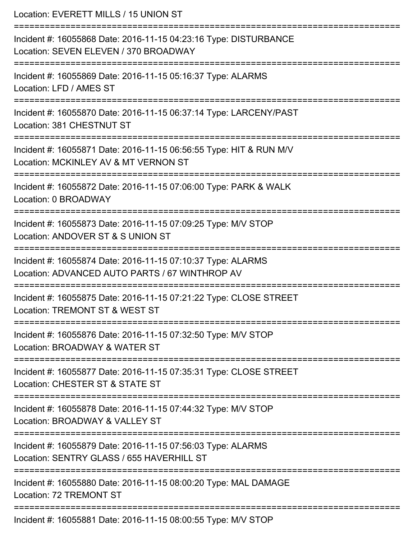| Location: EVERETT MILLS / 15 UNION ST                                                                                    |
|--------------------------------------------------------------------------------------------------------------------------|
| Incident #: 16055868 Date: 2016-11-15 04:23:16 Type: DISTURBANCE<br>Location: SEVEN ELEVEN / 370 BROADWAY                |
| Incident #: 16055869 Date: 2016-11-15 05:16:37 Type: ALARMS<br>Location: LFD / AMES ST<br>============================== |
| Incident #: 16055870 Date: 2016-11-15 06:37:14 Type: LARCENY/PAST<br>Location: 381 CHESTNUT ST                           |
| Incident #: 16055871 Date: 2016-11-15 06:56:55 Type: HIT & RUN M/V<br>Location: MCKINLEY AV & MT VERNON ST               |
| Incident #: 16055872 Date: 2016-11-15 07:06:00 Type: PARK & WALK<br>Location: 0 BROADWAY                                 |
| Incident #: 16055873 Date: 2016-11-15 07:09:25 Type: M/V STOP<br>Location: ANDOVER ST & S UNION ST                       |
| Incident #: 16055874 Date: 2016-11-15 07:10:37 Type: ALARMS<br>Location: ADVANCED AUTO PARTS / 67 WINTHROP AV            |
| Incident #: 16055875 Date: 2016-11-15 07:21:22 Type: CLOSE STREET<br>Location: TREMONT ST & WEST ST                      |
| Incident #: 16055876 Date: 2016-11-15 07:32:50 Type: M/V STOP<br>Location: BROADWAY & WATER ST                           |
| Incident #: 16055877 Date: 2016-11-15 07:35:31 Type: CLOSE STREET<br>Location: CHESTER ST & STATE ST                     |
| Incident #: 16055878 Date: 2016-11-15 07:44:32 Type: M/V STOP<br>Location: BROADWAY & VALLEY ST                          |
| Incident #: 16055879 Date: 2016-11-15 07:56:03 Type: ALARMS<br>Location: SENTRY GLASS / 655 HAVERHILL ST                 |
| Incident #: 16055880 Date: 2016-11-15 08:00:20 Type: MAL DAMAGE<br><b>Location: 72 TREMONT ST</b>                        |
| Incident #: 16055881 Date: 2016-11-15 08:00:55 Type: M/V STOP                                                            |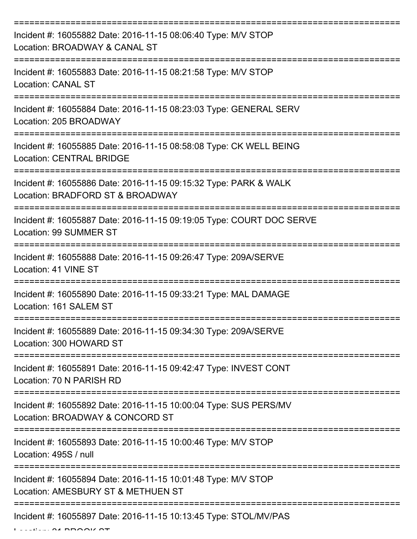| Incident #: 16055882 Date: 2016-11-15 08:06:40 Type: M/V STOP<br>Location: BROADWAY & CANAL ST        |
|-------------------------------------------------------------------------------------------------------|
| Incident #: 16055883 Date: 2016-11-15 08:21:58 Type: M/V STOP<br><b>Location: CANAL ST</b>            |
| Incident #: 16055884 Date: 2016-11-15 08:23:03 Type: GENERAL SERV<br>Location: 205 BROADWAY           |
| Incident #: 16055885 Date: 2016-11-15 08:58:08 Type: CK WELL BEING<br><b>Location: CENTRAL BRIDGE</b> |
| Incident #: 16055886 Date: 2016-11-15 09:15:32 Type: PARK & WALK<br>Location: BRADFORD ST & BROADWAY  |
| Incident #: 16055887 Date: 2016-11-15 09:19:05 Type: COURT DOC SERVE<br><b>Location: 99 SUMMER ST</b> |
| Incident #: 16055888 Date: 2016-11-15 09:26:47 Type: 209A/SERVE<br>Location: 41 VINE ST               |
| Incident #: 16055890 Date: 2016-11-15 09:33:21 Type: MAL DAMAGE<br>Location: 161 SALEM ST             |
| Incident #: 16055889 Date: 2016-11-15 09:34:30 Type: 209A/SERVE<br>Location: 300 HOWARD ST            |
| Incident #: 16055891 Date: 2016-11-15 09:42:47 Type: INVEST CONT<br>Location: 70 N PARISH RD          |
| Incident #: 16055892 Date: 2016-11-15 10:00:04 Type: SUS PERS/MV<br>Location: BROADWAY & CONCORD ST   |
| Incident #: 16055893 Date: 2016-11-15 10:00:46 Type: M/V STOP<br>Location: 495S / null                |
| Incident #: 16055894 Date: 2016-11-15 10:01:48 Type: M/V STOP<br>Location: AMESBURY ST & METHUEN ST   |
| Incident #: 16055897 Date: 2016-11-15 10:13:45 Type: STOL/MV/PAS                                      |

 $L = L$  .  $L = \Omega$  BBOOK ST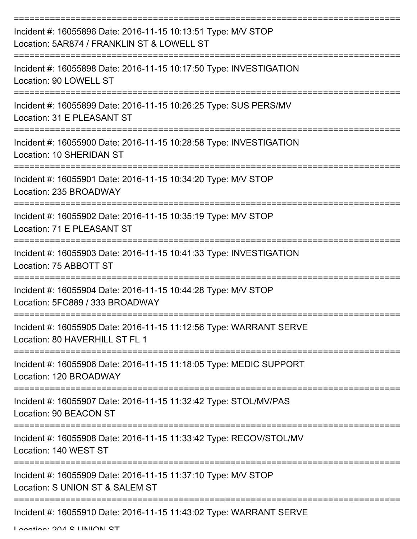| Incident #: 16055896 Date: 2016-11-15 10:13:51 Type: M/V STOP<br>Location: 5AR874 / FRANKLIN ST & LOWELL ST |
|-------------------------------------------------------------------------------------------------------------|
| Incident #: 16055898 Date: 2016-11-15 10:17:50 Type: INVESTIGATION<br>Location: 90 LOWELL ST                |
| Incident #: 16055899 Date: 2016-11-15 10:26:25 Type: SUS PERS/MV<br>Location: 31 E PLEASANT ST              |
| Incident #: 16055900 Date: 2016-11-15 10:28:58 Type: INVESTIGATION<br>Location: 10 SHERIDAN ST              |
| Incident #: 16055901 Date: 2016-11-15 10:34:20 Type: M/V STOP<br>Location: 235 BROADWAY                     |
| Incident #: 16055902 Date: 2016-11-15 10:35:19 Type: M/V STOP<br>Location: 71 E PLEASANT ST                 |
| Incident #: 16055903 Date: 2016-11-15 10:41:33 Type: INVESTIGATION<br>Location: 75 ABBOTT ST                |
| Incident #: 16055904 Date: 2016-11-15 10:44:28 Type: M/V STOP<br>Location: 5FC889 / 333 BROADWAY            |
| Incident #: 16055905 Date: 2016-11-15 11:12:56 Type: WARRANT SERVE<br>Location: 80 HAVERHILL ST FL 1        |
| Incident #: 16055906 Date: 2016-11-15 11:18:05 Type: MEDIC SUPPORT<br>Location: 120 BROADWAY                |
| Incident #: 16055907 Date: 2016-11-15 11:32:42 Type: STOL/MV/PAS<br>Location: 90 BEACON ST                  |
| Incident #: 16055908 Date: 2016-11-15 11:33:42 Type: RECOV/STOL/MV<br>Location: 140 WEST ST                 |
| Incident #: 16055909 Date: 2016-11-15 11:37:10 Type: M/V STOP<br>Location: S UNION ST & SALEM ST            |
| Incident #: 16055910 Date: 2016-11-15 11:43:02 Type: WARRANT SERVE                                          |

Location: 204 S LINIION ST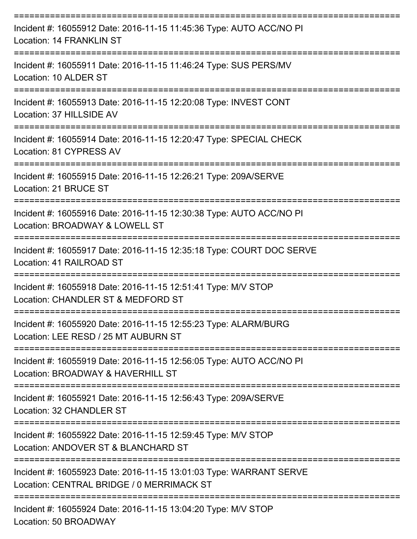| Incident #: 16055912 Date: 2016-11-15 11:45:36 Type: AUTO ACC/NO PI<br>Location: 14 FRANKLIN ST                                   |
|-----------------------------------------------------------------------------------------------------------------------------------|
| Incident #: 16055911 Date: 2016-11-15 11:46:24 Type: SUS PERS/MV<br>Location: 10 ALDER ST                                         |
| Incident #: 16055913 Date: 2016-11-15 12:20:08 Type: INVEST CONT<br>Location: 37 HILLSIDE AV                                      |
| ================================<br>Incident #: 16055914 Date: 2016-11-15 12:20:47 Type: SPECIAL CHECK<br>Location: 81 CYPRESS AV |
| Incident #: 16055915 Date: 2016-11-15 12:26:21 Type: 209A/SERVE<br>Location: 21 BRUCE ST                                          |
| Incident #: 16055916 Date: 2016-11-15 12:30:38 Type: AUTO ACC/NO PI<br>Location: BROADWAY & LOWELL ST                             |
| Incident #: 16055917 Date: 2016-11-15 12:35:18 Type: COURT DOC SERVE<br>Location: 41 RAILROAD ST                                  |
| -----------<br>Incident #: 16055918 Date: 2016-11-15 12:51:41 Type: M/V STOP<br>Location: CHANDLER ST & MEDFORD ST                |
| Incident #: 16055920 Date: 2016-11-15 12:55:23 Type: ALARM/BURG<br>Location: LEE RESD / 25 MT AUBURN ST                           |
| Incident #: 16055919 Date: 2016-11-15 12:56:05 Type: AUTO ACC/NO PI<br>Location: BROADWAY & HAVERHILL ST                          |
| Incident #: 16055921 Date: 2016-11-15 12:56:43 Type: 209A/SERVE<br>Location: 32 CHANDLER ST                                       |
| Incident #: 16055922 Date: 2016-11-15 12:59:45 Type: M/V STOP<br>Location: ANDOVER ST & BLANCHARD ST                              |
| Incident #: 16055923 Date: 2016-11-15 13:01:03 Type: WARRANT SERVE<br>Location: CENTRAL BRIDGE / 0 MERRIMACK ST                   |
| Incident #: 16055924 Date: 2016-11-15 13:04:20 Type: M/V STOP<br>Location: 50 BROADWAY                                            |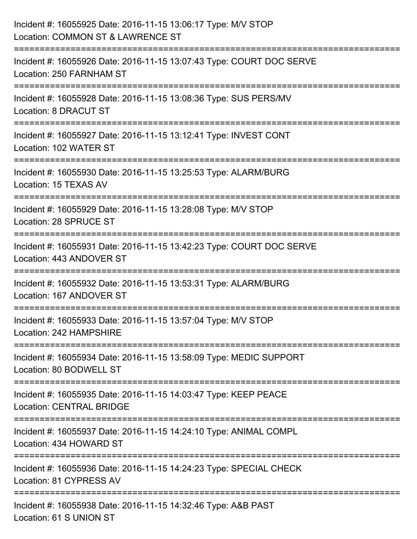| Incident #: 16055925 Date: 2016-11-15 13:06:17 Type: M/V STOP<br>Location: COMMON ST & LAWRENCE ST                         |
|----------------------------------------------------------------------------------------------------------------------------|
| :=====================<br>Incident #: 16055926 Date: 2016-11-15 13:07:43 Type: COURT DOC SERVE<br>Location: 250 FARNHAM ST |
| Incident #: 16055928 Date: 2016-11-15 13:08:36 Type: SUS PERS/MV<br>Location: 8 DRACUT ST                                  |
| Incident #: 16055927 Date: 2016-11-15 13:12:41 Type: INVEST CONT<br>Location: 102 WATER ST                                 |
| Incident #: 16055930 Date: 2016-11-15 13:25:53 Type: ALARM/BURG<br>Location: 15 TEXAS AV                                   |
| Incident #: 16055929 Date: 2016-11-15 13:28:08 Type: M/V STOP<br>Location: 28 SPRUCE ST                                    |
| Incident #: 16055931 Date: 2016-11-15 13:42:23 Type: COURT DOC SERVE<br>Location: 443 ANDOVER ST                           |
| Incident #: 16055932 Date: 2016-11-15 13:53:31 Type: ALARM/BURG<br>Location: 167 ANDOVER ST                                |
| Incident #: 16055933 Date: 2016-11-15 13:57:04 Type: M/V STOP<br>Location: 242 HAMPSHIRE                                   |
| Incident #: 16055934 Date: 2016-11-15 13:58:09 Type: MEDIC SUPPORT<br>Location: 80 BODWELL ST                              |
| Incident #: 16055935 Date: 2016-11-15 14:03:47 Type: KEEP PEACE<br><b>Location: CENTRAL BRIDGE</b>                         |
| Incident #: 16055937 Date: 2016-11-15 14:24:10 Type: ANIMAL COMPL<br>Location: 434 HOWARD ST                               |
| Incident #: 16055936 Date: 2016-11-15 14:24:23 Type: SPECIAL CHECK<br>Location: 81 CYPRESS AV                              |
| Incident #: 16055938 Date: 2016-11-15 14:32:46 Type: A&B PAST<br>Location: 61 S UNION ST                                   |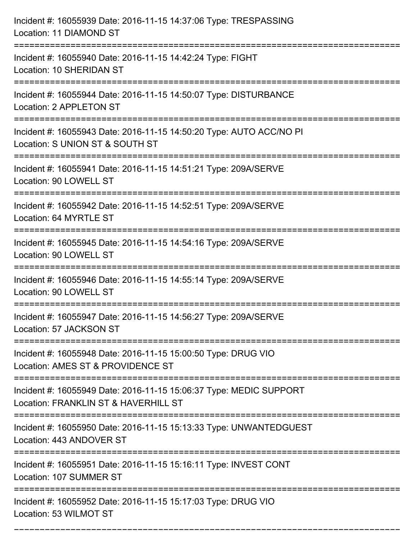| Incident #: 16055939 Date: 2016-11-15 14:37:06 Type: TRESPASSING<br>Location: 11 DIAMOND ST                      |
|------------------------------------------------------------------------------------------------------------------|
| Incident #: 16055940 Date: 2016-11-15 14:42:24 Type: FIGHT<br>Location: 10 SHERIDAN ST                           |
| Incident #: 16055944 Date: 2016-11-15 14:50:07 Type: DISTURBANCE<br>Location: 2 APPLETON ST                      |
| Incident #: 16055943 Date: 2016-11-15 14:50:20 Type: AUTO ACC/NO PI<br>Location: S UNION ST & SOUTH ST           |
| Incident #: 16055941 Date: 2016-11-15 14:51:21 Type: 209A/SERVE<br>Location: 90 LOWELL ST                        |
| Incident #: 16055942 Date: 2016-11-15 14:52:51 Type: 209A/SERVE<br>Location: 64 MYRTLE ST                        |
| Incident #: 16055945 Date: 2016-11-15 14:54:16 Type: 209A/SERVE<br>Location: 90 LOWELL ST                        |
| Incident #: 16055946 Date: 2016-11-15 14:55:14 Type: 209A/SERVE<br>Location: 90 LOWELL ST                        |
| Incident #: 16055947 Date: 2016-11-15 14:56:27 Type: 209A/SERVE<br>Location: 57 JACKSON ST                       |
| Incident #: 16055948 Date: 2016-11-15 15:00:50 Type: DRUG VIO<br>Location: AMES ST & PROVIDENCE ST               |
| Incident #: 16055949 Date: 2016-11-15 15:06:37 Type: MEDIC SUPPORT<br>Location: FRANKLIN ST & HAVERHILL ST       |
| Incident #: 16055950 Date: 2016-11-15 15:13:33 Type: UNWANTEDGUEST<br>Location: 443 ANDOVER ST<br>============== |
| Incident #: 16055951 Date: 2016-11-15 15:16:11 Type: INVEST CONT<br>Location: 107 SUMMER ST                      |
| Incident #: 16055952 Date: 2016-11-15 15:17:03 Type: DRUG VIO<br>Location: 53 WILMOT ST                          |

===========================================================================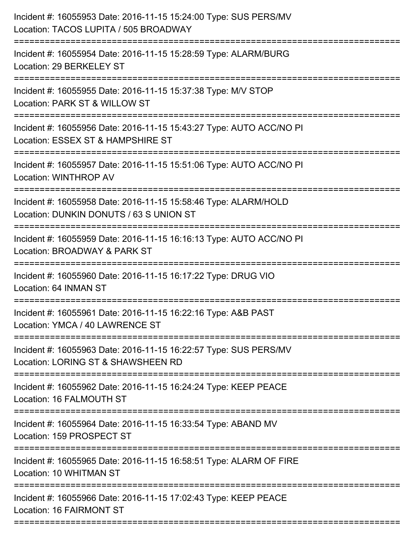| Incident #: 16055953 Date: 2016-11-15 15:24:00 Type: SUS PERS/MV<br>Location: TACOS LUPITA / 505 BROADWAY                       |
|---------------------------------------------------------------------------------------------------------------------------------|
| Incident #: 16055954 Date: 2016-11-15 15:28:59 Type: ALARM/BURG<br>Location: 29 BERKELEY ST                                     |
| Incident #: 16055955 Date: 2016-11-15 15:37:38 Type: M/V STOP<br>Location: PARK ST & WILLOW ST<br>:============================ |
| Incident #: 16055956 Date: 2016-11-15 15:43:27 Type: AUTO ACC/NO PI<br>Location: ESSEX ST & HAMPSHIRE ST                        |
| Incident #: 16055957 Date: 2016-11-15 15:51:06 Type: AUTO ACC/NO PI<br>Location: WINTHROP AV                                    |
| Incident #: 16055958 Date: 2016-11-15 15:58:46 Type: ALARM/HOLD<br>Location: DUNKIN DONUTS / 63 S UNION ST                      |
| Incident #: 16055959 Date: 2016-11-15 16:16:13 Type: AUTO ACC/NO PI<br>Location: BROADWAY & PARK ST                             |
| Incident #: 16055960 Date: 2016-11-15 16:17:22 Type: DRUG VIO<br>Location: 64 INMAN ST                                          |
| Incident #: 16055961 Date: 2016-11-15 16:22:16 Type: A&B PAST<br>Location: YMCA / 40 LAWRENCE ST                                |
| Incident #: 16055963 Date: 2016-11-15 16:22:57 Type: SUS PERS/MV<br>Location: LORING ST & SHAWSHEEN RD                          |
| Incident #: 16055962 Date: 2016-11-15 16:24:24 Type: KEEP PEACE<br>Location: 16 FALMOUTH ST                                     |
| Incident #: 16055964 Date: 2016-11-15 16:33:54 Type: ABAND MV<br>Location: 159 PROSPECT ST                                      |
| ==========================<br>Incident #: 16055965 Date: 2016-11-15 16:58:51 Type: ALARM OF FIRE<br>Location: 10 WHITMAN ST     |
| Incident #: 16055966 Date: 2016-11-15 17:02:43 Type: KEEP PEACE<br>Location: 16 FAIRMONT ST                                     |
|                                                                                                                                 |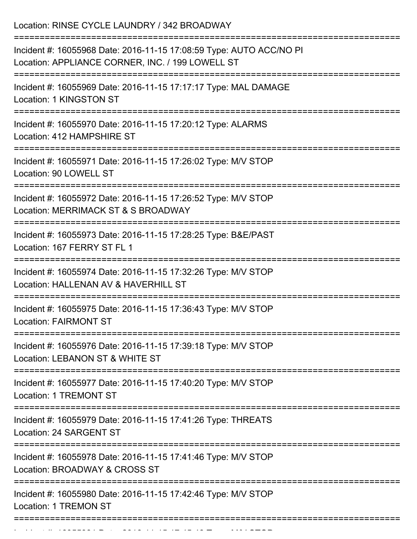Location: RINSE CYCLE LAUNDRY / 342 BROADWAY =========================================================================== Incident #: 16055968 Date: 2016-11-15 17:08:59 Type: AUTO ACC/NO PI Location: APPLIANCE CORNER, INC. / 199 LOWELL ST =========================================================================== Incident #: 16055969 Date: 2016-11-15 17:17:17 Type: MAL DAMAGE Location: 1 KINGSTON ST =========================================================================== Incident #: 16055970 Date: 2016-11-15 17:20:12 Type: ALARMS Location: 412 HAMPSHIRE ST =========================================================================== Incident #: 16055971 Date: 2016-11-15 17:26:02 Type: M/V STOP Location: 90 LOWELL ST =========================================================================== Incident #: 16055972 Date: 2016-11-15 17:26:52 Type: M/V STOP Location: MERRIMACK ST & S BROADWAY =========================================================================== Incident #: 16055973 Date: 2016-11-15 17:28:25 Type: B&E/PAST Location: 167 FERRY ST FL 1 =========================================================================== Incident #: 16055974 Date: 2016-11-15 17:32:26 Type: M/V STOP Location: HALLENAN AV & HAVERHILL ST =========================================================================== Incident #: 16055975 Date: 2016-11-15 17:36:43 Type: M/V STOP Location: FAIRMONT ST =========================================================================== Incident #: 16055976 Date: 2016-11-15 17:39:18 Type: M/V STOP Location: LEBANON ST & WHITE ST =========================================================================== Incident #: 16055977 Date: 2016-11-15 17:40:20 Type: M/V STOP Location: 1 TREMONT ST =========================================================================== Incident #: 16055979 Date: 2016-11-15 17:41:26 Type: THREATS Location: 24 SARGENT ST =========================================================================== Incident #: 16055978 Date: 2016-11-15 17:41:46 Type: M/V STOP Location: BROADWAY & CROSS ST =========================================================================== Incident #: 16055980 Date: 2016-11-15 17:42:46 Type: M/V STOP Location: 1 TREMON ST ===========================================================================

Incident #: 16055981 Date: 2016 11 15 17:45:48 Type: M/V STOP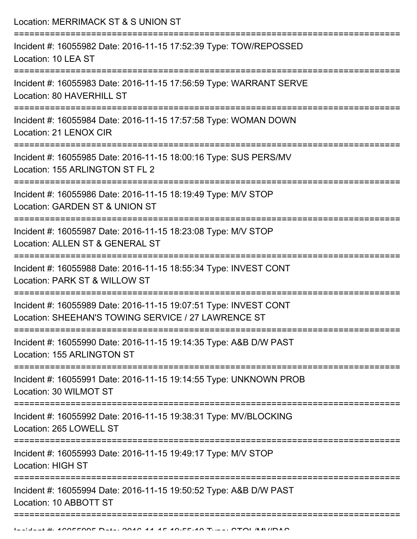| Location: MERRIMACK ST & S UNION ST                                                                                          |
|------------------------------------------------------------------------------------------------------------------------------|
| Incident #: 16055982 Date: 2016-11-15 17:52:39 Type: TOW/REPOSSED<br>Location: 10 LEA ST                                     |
| Incident #: 16055983 Date: 2016-11-15 17:56:59 Type: WARRANT SERVE<br>Location: 80 HAVERHILL ST                              |
| Incident #: 16055984 Date: 2016-11-15 17:57:58 Type: WOMAN DOWN<br>Location: 21 LENOX CIR<br>------------------------------- |
| Incident #: 16055985 Date: 2016-11-15 18:00:16 Type: SUS PERS/MV<br>Location: 155 ARLINGTON ST FL 2                          |
| Incident #: 16055986 Date: 2016-11-15 18:19:49 Type: M/V STOP<br>Location: GARDEN ST & UNION ST                              |
| Incident #: 16055987 Date: 2016-11-15 18:23:08 Type: M/V STOP<br>Location: ALLEN ST & GENERAL ST                             |
| Incident #: 16055988 Date: 2016-11-15 18:55:34 Type: INVEST CONT<br>Location: PARK ST & WILLOW ST                            |
| Incident #: 16055989 Date: 2016-11-15 19:07:51 Type: INVEST CONT<br>Location: SHEEHAN'S TOWING SERVICE / 27 LAWRENCE ST      |
| Incident #: 16055990 Date: 2016-11-15 19:14:35 Type: A&B D/W PAST<br>Location: 155 ARLINGTON ST                              |
| Incident #: 16055991 Date: 2016-11-15 19:14:55 Type: UNKNOWN PROB<br>Location: 30 WILMOT ST                                  |
| Incident #: 16055992 Date: 2016-11-15 19:38:31 Type: MV/BLOCKING<br>Location: 265 LOWELL ST                                  |
| Incident #: 16055993 Date: 2016-11-15 19:49:17 Type: M/V STOP<br><b>Location: HIGH ST</b>                                    |
| Incident #: 16055994 Date: 2016-11-15 19:50:52 Type: A&B D/W PAST<br>Location: 10 ABBOTT ST                                  |
|                                                                                                                              |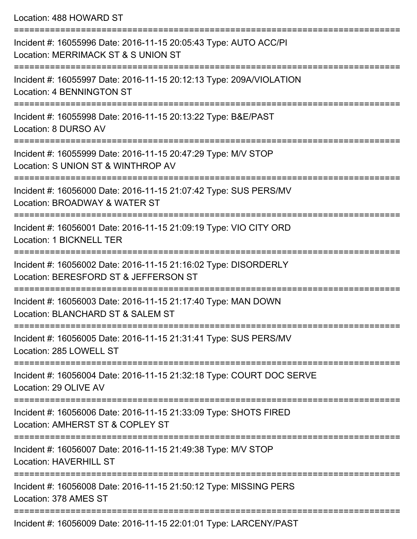| Location: 488 HOWARD ST |  |
|-------------------------|--|
|-------------------------|--|

| Incident #: 16055996 Date: 2016-11-15 20:05:43 Type: AUTO ACC/PI<br>Location: MERRIMACK ST & S UNION ST         |
|-----------------------------------------------------------------------------------------------------------------|
| Incident #: 16055997 Date: 2016-11-15 20:12:13 Type: 209A/VIOLATION<br>Location: 4 BENNINGTON ST                |
| Incident #: 16055998 Date: 2016-11-15 20:13:22 Type: B&E/PAST<br>Location: 8 DURSO AV                           |
| Incident #: 16055999 Date: 2016-11-15 20:47:29 Type: M/V STOP<br>Location: S UNION ST & WINTHROP AV             |
| Incident #: 16056000 Date: 2016-11-15 21:07:42 Type: SUS PERS/MV<br>Location: BROADWAY & WATER ST               |
| Incident #: 16056001 Date: 2016-11-15 21:09:19 Type: VIO CITY ORD<br>Location: 1 BICKNELL TER<br>-------------- |
| Incident #: 16056002 Date: 2016-11-15 21:16:02 Type: DISORDERLY<br>Location: BERESFORD ST & JEFFERSON ST        |
| Incident #: 16056003 Date: 2016-11-15 21:17:40 Type: MAN DOWN<br>Location: BLANCHARD ST & SALEM ST              |
| Incident #: 16056005 Date: 2016-11-15 21:31:41 Type: SUS PERS/MV<br>Location: 285 LOWELL ST                     |
| Incident #: 16056004 Date: 2016-11-15 21:32:18 Type: COURT DOC SERVE<br>Location: 29 OLIVE AV                   |
| Incident #: 16056006 Date: 2016-11-15 21:33:09 Type: SHOTS FIRED<br>Location: AMHERST ST & COPLEY ST            |
| Incident #: 16056007 Date: 2016-11-15 21:49:38 Type: M/V STOP<br><b>Location: HAVERHILL ST</b>                  |
| Incident #: 16056008 Date: 2016-11-15 21:50:12 Type: MISSING PERS<br>Location: 378 AMES ST                      |
| Incident #: 16056009 Date: 2016-11-15 22:01:01 Type: LARCENY/PAST                                               |